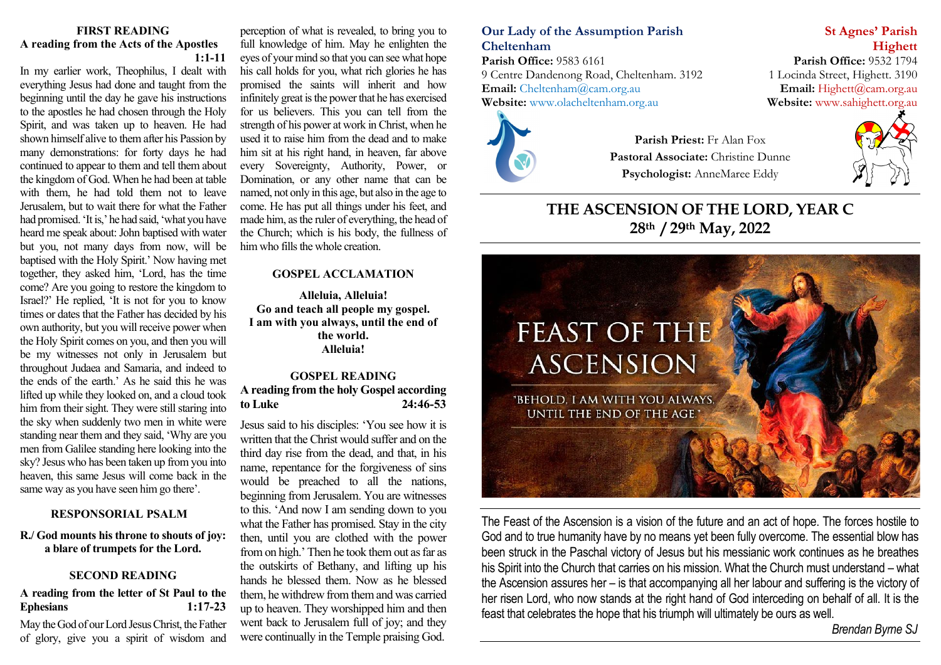#### **FIRST READING A reading from the Acts of the Apostles 1:1-11**

In my earlier work, Theophilus, I dealt with everything Jesus had done and taught from the beginning until the day he gave his instructions to the apostles he had chosen through the Holy Spirit, and was taken up to heaven. He had shown himself alive to them after his Passion by many demonstrations: for forty days he had continued to appear to them and tell them about the kingdom of God. When he had been at table with them, he had told them not to leave Jerusalem, but to wait there for what the Father had promised. 'It is,' he had said, 'what you have heard me speak about: John baptised with water but you, not many days from now, will be baptised with the Holy Spirit.' Now having met together, they asked him, 'Lord, has the time come? Are you going to restore the kingdom to Israel?' He replied, 'It is not for you to know times or dates that the Father has decided by his own authority, but you will receive power when the Holy Spirit comes on you, and then you will be my witnesses not only in Jerusalem but throughout Judaea and Samaria, and indeed to the ends of the earth.' As he said this he was lifted up while they looked on, and a cloud took him from their sight. They were still staring into the sky when suddenly two men in white were standing near them and they said, 'Why are you men from Galilee standing here looking into the sky? Jesus who has been taken up from you into heaven, this same Jesus will come back in the same way as you have seen him go there'.

### **RESPONSORIAL PSALM**

**R./ God mounts his throne to shouts of joy: a blare of trumpets for the Lord.**

### **SECOND READING**

### **A reading from the letter of St Paul to the Ephesians 1:17-23**

May the God of our Lord Jesus Christ, the Father of glory, give you a spirit of wisdom and perception of what is revealed, to bring you to full knowledge of him. May he enlighten the eyes of your mind so that you can see what hope his call holds for you, what rich glories he has promised the saints will inherit and how infinitely great is the power that he has exercised for us believers. This you can tell from the strength of his power at work in Christ, when he used it to raise him from the dead and to make him sit at his right hand, in heaven, far above every Sovereignty, Authority, Power, or Domination, or any other name that can be named, not only in this age, but also in the age to come. He has put all things under his feet, and made him, as the ruler of everything, the head of the Church; which is his body, the fullness of him who fills the whole creation.

#### **GOSPEL ACCLAMATION**

**Alleluia, Alleluia! Go and teach all people my gospel. I am with you always, until the end of the world. Alleluia!**

### **GOSPEL READING A reading from the holy Gospel according to Luke 24:46-53**

Jesus said to his disciples: 'You see how it is written that the Christ would suffer and on the third day rise from the dead, and that, in his name, repentance for the forgiveness of sins would be preached to all the nations, beginning from Jerusalem. You are witnesses to this. 'And now I am sending down to you what the Father has promised. Stay in the city then, until you are clothed with the power from on high.' Then he took them out as far as the outskirts of Bethany, and lifting up his hands he blessed them. Now as he blessed them, he withdrew from them and was carried up to heaven. They worshipped him and then went back to Jerusalem full of joy; and they were continually in the Temple praising God.

### **Our Lady of the Assumption Parish St Agnes' Parish Cheltenham Highett**

Parish Office: 9583 6161<br>
9 Centre Dandenong Road, Cheltenham. 3192<br>
1 Locinda Street, Highett. 3190 9 Centre Dandenong Road, Cheltenham. 3192 **Email:** [Cheltenham@cam.org.au](mailto:Cheltenham@cam.org.au) **Email:** [Highett@cam.org.au](mailto:Highett@cam.org.au) **Website:** www.olacheltenham.org.au **Website:** www.sahighett.org.au Website: [www.olacheltenham.org.au](http://www.olacheltenham.org.au/)



**Parish Priest:** Fr Alan Fox **Pastoral Associate:** Christine Dunne **Psychologist:** AnneMaree Eddy



## **THE ASCENSION OF THE LORD, YEAR C 28th / 29th May, 2022**



The Feast of the Ascension is a vision of the future and an act of hope. The forces hostile to God and to true humanity have by no means yet been fully overcome. The essential blow has been struck in the Paschal victory of Jesus but his messianic work continues as he breathes his Spirit into the Church that carries on his mission. What the Church must understand – what the Ascension assures her – is that accompanying all her labour and suffering is the victory of her risen Lord, who now stands at the right hand of God interceding on behalf of all. It is the feast that celebrates the hope that his triumph will ultimately be ours as well.

*Brendan Byrne SJ*